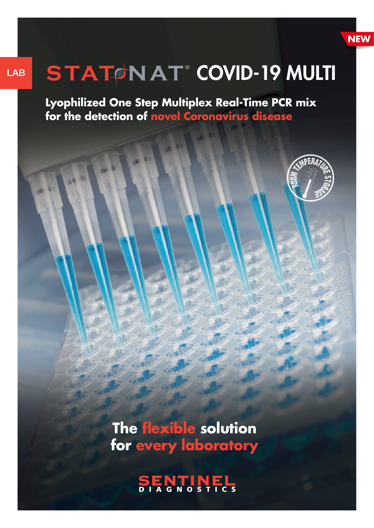

# LAB STATSNAT® COVID-19 MULTI

**Lyophilized One Step Multiplex Real-Time PCR mix for the detection of novel Coronavirus disease**



**The flexible solution for every laboratory**

ENTINEL